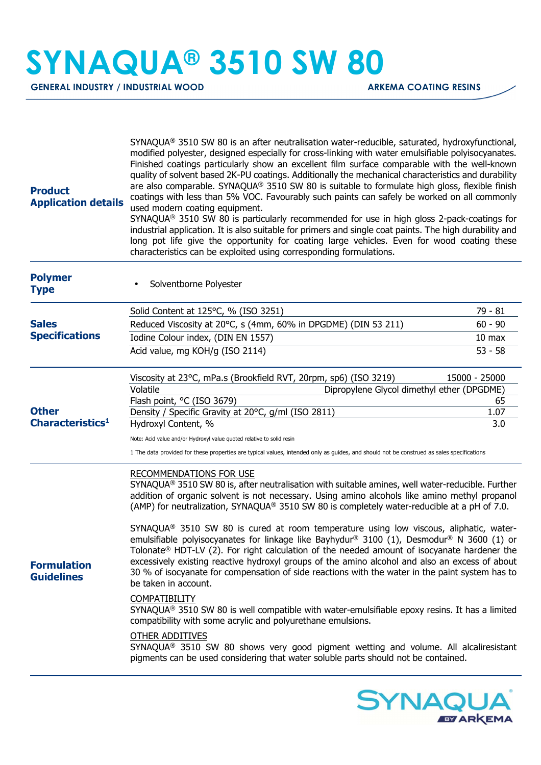## **SYNAQUA® 3510 SW 80**

GENERAL INDUSTRY / INDUSTRIAL WOOD **ARKEMA COATING RESINS** 

| <b>Product</b><br><b>Application details</b>                                          | $SYNAQUA®$ 3510 SW 80 is an after neutralisation water-reducible, saturated, hydroxyfunctional,<br>modified polyester, designed especially for cross-linking with water emulsifiable polyisocyanates.<br>Finished coatings particularly show an excellent film surface comparable with the well-known<br>quality of solvent based 2K-PU coatings. Additionally the mechanical characteristics and durability<br>are also comparable. SYNAQUA® 3510 SW 80 is suitable to formulate high gloss, flexible finish<br>coatings with less than 5% VOC. Favourably such paints can safely be worked on all commonly<br>used modern coating equipment.<br>$SYNAQUA®$ 3510 SW 80 is particularly recommended for use in high gloss 2-pack-coatings for<br>industrial application. It is also suitable for primers and single coat paints. The high durability and<br>long pot life give the opportunity for coating large vehicles. Even for wood coating these<br>characteristics can be exploited using corresponding formulations. |                   |  |
|---------------------------------------------------------------------------------------|------------------------------------------------------------------------------------------------------------------------------------------------------------------------------------------------------------------------------------------------------------------------------------------------------------------------------------------------------------------------------------------------------------------------------------------------------------------------------------------------------------------------------------------------------------------------------------------------------------------------------------------------------------------------------------------------------------------------------------------------------------------------------------------------------------------------------------------------------------------------------------------------------------------------------------------------------------------------------------------------------------------------------|-------------------|--|
| <b>Polymer</b><br><b>Type</b>                                                         | Solventborne Polyester                                                                                                                                                                                                                                                                                                                                                                                                                                                                                                                                                                                                                                                                                                                                                                                                                                                                                                                                                                                                       |                   |  |
|                                                                                       | Solid Content at 125°C, % (ISO 3251)                                                                                                                                                                                                                                                                                                                                                                                                                                                                                                                                                                                                                                                                                                                                                                                                                                                                                                                                                                                         | 79 - 81           |  |
| <b>Sales</b><br><b>Specifications</b><br><b>Other</b><br>Characteristics <sup>1</sup> | Reduced Viscosity at 20°C, s (4mm, 60% in DPGDME) (DIN 53 211)                                                                                                                                                                                                                                                                                                                                                                                                                                                                                                                                                                                                                                                                                                                                                                                                                                                                                                                                                               | $60 - 90$         |  |
|                                                                                       | Iodine Colour index, (DIN EN 1557)                                                                                                                                                                                                                                                                                                                                                                                                                                                                                                                                                                                                                                                                                                                                                                                                                                                                                                                                                                                           | 10 <sub>max</sub> |  |
|                                                                                       | Acid value, mg KOH/g (ISO 2114)                                                                                                                                                                                                                                                                                                                                                                                                                                                                                                                                                                                                                                                                                                                                                                                                                                                                                                                                                                                              | $53 - 58$         |  |
|                                                                                       | Viscosity at 23°C, mPa.s (Brookfield RVT, 20rpm, sp6) (ISO 3219)<br>Volatile<br>Dipropylene Glycol dimethyl ether (DPGDME)                                                                                                                                                                                                                                                                                                                                                                                                                                                                                                                                                                                                                                                                                                                                                                                                                                                                                                   | 15000 - 25000     |  |
|                                                                                       | Flash point, °C (ISO 3679)                                                                                                                                                                                                                                                                                                                                                                                                                                                                                                                                                                                                                                                                                                                                                                                                                                                                                                                                                                                                   | 65                |  |
|                                                                                       | Density / Specific Gravity at 20°C, g/ml (ISO 2811)                                                                                                                                                                                                                                                                                                                                                                                                                                                                                                                                                                                                                                                                                                                                                                                                                                                                                                                                                                          | 1.07              |  |
|                                                                                       | Hydroxyl Content, %                                                                                                                                                                                                                                                                                                                                                                                                                                                                                                                                                                                                                                                                                                                                                                                                                                                                                                                                                                                                          | 3.0               |  |
|                                                                                       | Note: Acid value and/or Hydroxyl value quoted relative to solid resin                                                                                                                                                                                                                                                                                                                                                                                                                                                                                                                                                                                                                                                                                                                                                                                                                                                                                                                                                        |                   |  |
|                                                                                       | 1 The data provided for these properties are typical values, intended only as guides, and should not be construed as sales specifications                                                                                                                                                                                                                                                                                                                                                                                                                                                                                                                                                                                                                                                                                                                                                                                                                                                                                    |                   |  |
| <b>Formulation</b><br><b>Guidelines</b>                                               | <b>RECOMMENDATIONS FOR USE</b><br>SYNAQUA® 3510 SW 80 is, after neutralisation with suitable amines, well water-reducible. Further<br>addition of organic solvent is not necessary. Using amino alcohols like amino methyl propanol<br>(AMP) for neutralization, SYNAQUA® 3510 SW 80 is completely water-reducible at a pH of 7.0.                                                                                                                                                                                                                                                                                                                                                                                                                                                                                                                                                                                                                                                                                           |                   |  |
|                                                                                       | SYNAQUA <sup>®</sup> 3510 SW 80 is cured at room temperature using low viscous, aliphatic, water-<br>emulsifiable polyisocyanates for linkage like Bayhydur® 3100 (1), Desmodur® N 3600 (1) or<br>Tolonate® HDT-LV (2). For right calculation of the needed amount of isocyanate hardener the<br>excessively existing reactive hydroxyl groups of the amino alcohol and also an excess of about<br>30 % of isocyanate for compensation of side reactions with the water in the paint system has to<br>be taken in account.                                                                                                                                                                                                                                                                                                                                                                                                                                                                                                   |                   |  |
|                                                                                       | <b>COMPATIBILITY</b><br>$SYNAQUA®$ 3510 SW 80 is well compatible with water-emulsifiable epoxy resins. It has a limited<br>compatibility with some acrylic and polyurethane emulsions.                                                                                                                                                                                                                                                                                                                                                                                                                                                                                                                                                                                                                                                                                                                                                                                                                                       |                   |  |
|                                                                                       | <b>OTHER ADDITIVES</b><br>SYNAQUA® 3510 SW 80 shows very good pigment wetting and volume. All alcaliresistant<br>pigments can be used considering that water soluble parts should not be contained.                                                                                                                                                                                                                                                                                                                                                                                                                                                                                                                                                                                                                                                                                                                                                                                                                          |                   |  |
|                                                                                       |                                                                                                                                                                                                                                                                                                                                                                                                                                                                                                                                                                                                                                                                                                                                                                                                                                                                                                                                                                                                                              |                   |  |